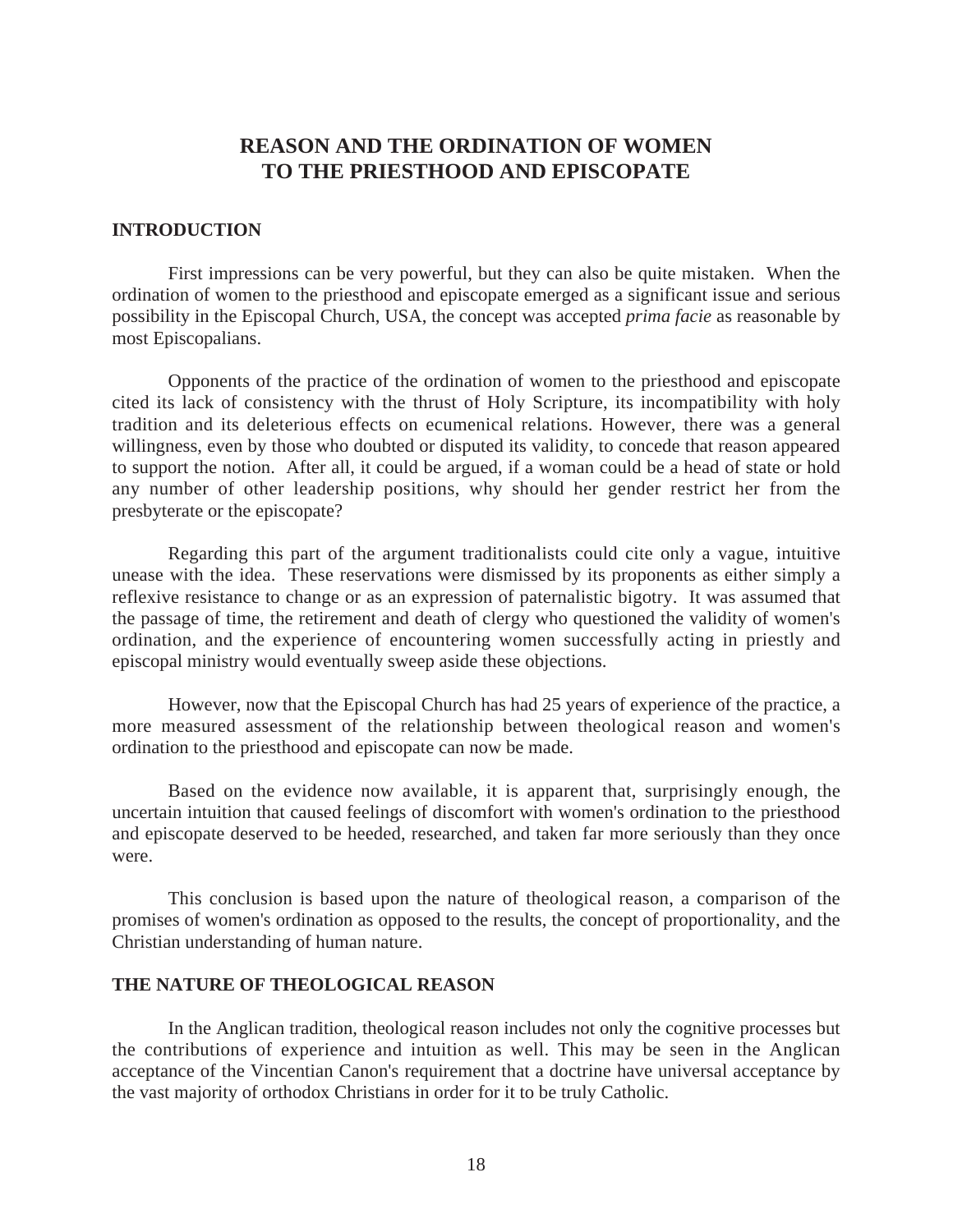# **REASON AND THE ORDINATION OF WOMEN TO THE PRIESTHOOD AND EPISCOPATE**

## **INTRODUCTION**

First impressions can be very powerful, but they can also be quite mistaken. When the ordination of women to the priesthood and episcopate emerged as a significant issue and serious possibility in the Episcopal Church, USA, the concept was accepted *prima facie* as reasonable by most Episcopalians.

Opponents of the practice of the ordination of women to the priesthood and episcopate cited its lack of consistency with the thrust of Holy Scripture, its incompatibility with holy tradition and its deleterious effects on ecumenical relations. However, there was a general willingness, even by those who doubted or disputed its validity, to concede that reason appeared to support the notion. After all, it could be argued, if a woman could be a head of state or hold any number of other leadership positions, why should her gender restrict her from the presbyterate or the episcopate?

Regarding this part of the argument traditionalists could cite only a vague, intuitive unease with the idea. These reservations were dismissed by its proponents as either simply a reflexive resistance to change or as an expression of paternalistic bigotry. It was assumed that the passage of time, the retirement and death of clergy who questioned the validity of women's ordination, and the experience of encountering women successfully acting in priestly and episcopal ministry would eventually sweep aside these objections.

However, now that the Episcopal Church has had 25 years of experience of the practice, a more measured assessment of the relationship between theological reason and women's ordination to the priesthood and episcopate can now be made.

Based on the evidence now available, it is apparent that, surprisingly enough, the uncertain intuition that caused feelings of discomfort with women's ordination to the priesthood and episcopate deserved to be heeded, researched, and taken far more seriously than they once were.

This conclusion is based upon the nature of theological reason, a comparison of the promises of women's ordination as opposed to the results, the concept of proportionality, and the Christian understanding of human nature.

# **THE NATURE OF THEOLOGICAL REASON**

In the Anglican tradition, theological reason includes not only the cognitive processes but the contributions of experience and intuition as well. This may be seen in the Anglican acceptance of the Vincentian Canon's requirement that a doctrine have universal acceptance by the vast majority of orthodox Christians in order for it to be truly Catholic.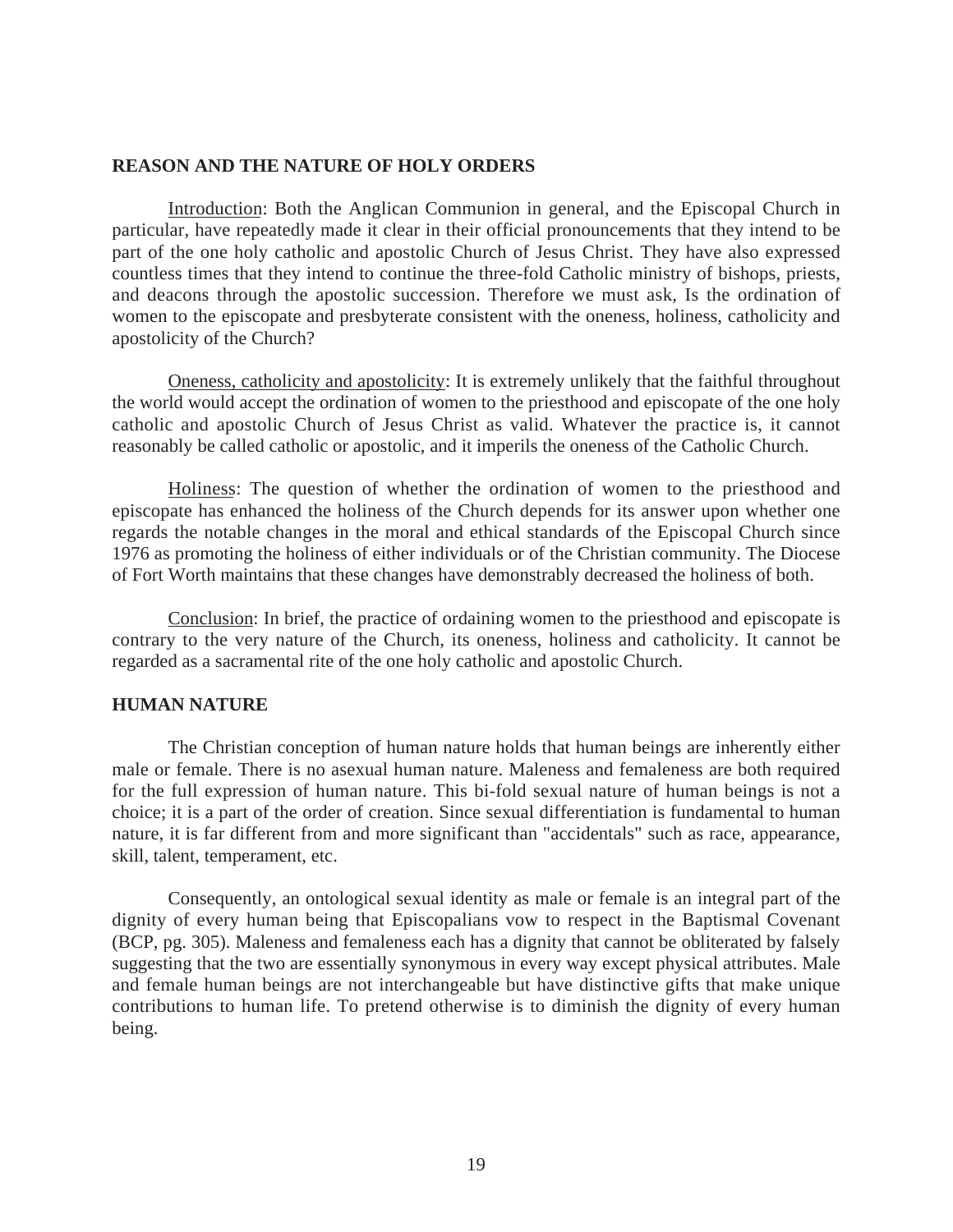#### **REASON AND THE NATURE OF HOLY ORDERS**

Introduction: Both the Anglican Communion in general, and the Episcopal Church in particular, have repeatedly made it clear in their official pronouncements that they intend to be part of the one holy catholic and apostolic Church of Jesus Christ. They have also expressed countless times that they intend to continue the three-fold Catholic ministry of bishops, priests, and deacons through the apostolic succession. Therefore we must ask, Is the ordination of women to the episcopate and presbyterate consistent with the oneness, holiness, catholicity and apostolicity of the Church?

Oneness, catholicity and apostolicity: It is extremely unlikely that the faithful throughout the world would accept the ordination of women to the priesthood and episcopate of the one holy catholic and apostolic Church of Jesus Christ as valid. Whatever the practice is, it cannot reasonably be called catholic or apostolic, and it imperils the oneness of the Catholic Church.

Holiness: The question of whether the ordination of women to the priesthood and episcopate has enhanced the holiness of the Church depends for its answer upon whether one regards the notable changes in the moral and ethical standards of the Episcopal Church since 1976 as promoting the holiness of either individuals or of the Christian community. The Diocese of Fort Worth maintains that these changes have demonstrably decreased the holiness of both.

Conclusion: In brief, the practice of ordaining women to the priesthood and episcopate is contrary to the very nature of the Church, its oneness, holiness and catholicity. It cannot be regarded as a sacramental rite of the one holy catholic and apostolic Church.

# **HUMAN NATURE**

The Christian conception of human nature holds that human beings are inherently either male or female. There is no asexual human nature. Maleness and femaleness are both required for the full expression of human nature. This bi-fold sexual nature of human beings is not a choice; it is a part of the order of creation. Since sexual differentiation is fundamental to human nature, it is far different from and more significant than "accidentals" such as race, appearance, skill, talent, temperament, etc.

Consequently, an ontological sexual identity as male or female is an integral part of the dignity of every human being that Episcopalians vow to respect in the Baptismal Covenant (BCP, pg. 305). Maleness and femaleness each has a dignity that cannot be obliterated by falsely suggesting that the two are essentially synonymous in every way except physical attributes. Male and female human beings are not interchangeable but have distinctive gifts that make unique contributions to human life. To pretend otherwise is to diminish the dignity of every human being.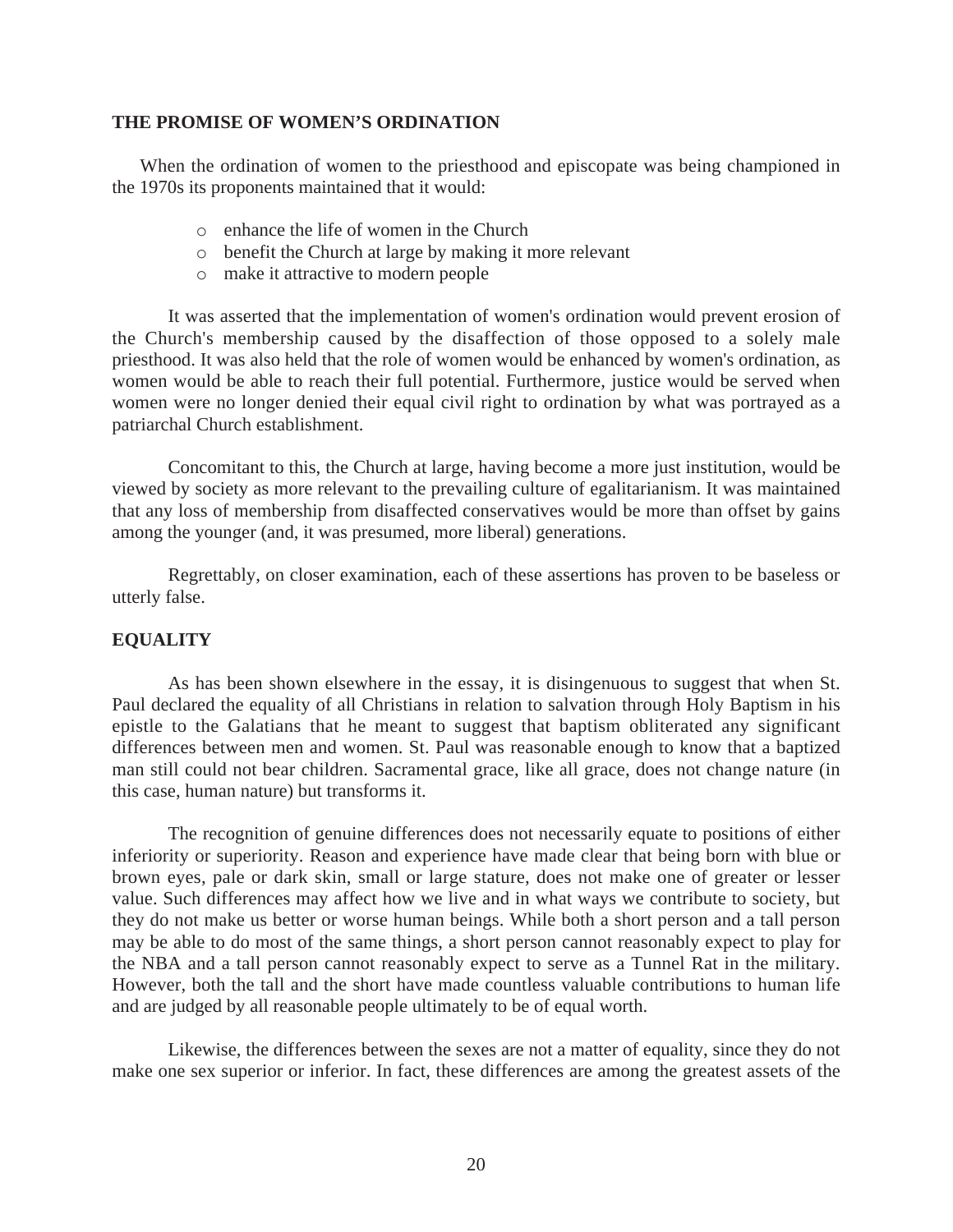# **THE PROMISE OF WOMEN'S ORDINATION**

When the ordination of women to the priesthood and episcopate was being championed in the 1970s its proponents maintained that it would:

- o enhance the life of women in the Church
- o benefit the Church at large by making it more relevant
- o make it attractive to modern people

It was asserted that the implementation of women's ordination would prevent erosion of the Church's membership caused by the disaffection of those opposed to a solely male priesthood. It was also held that the role of women would be enhanced by women's ordination, as women would be able to reach their full potential. Furthermore, justice would be served when women were no longer denied their equal civil right to ordination by what was portrayed as a patriarchal Church establishment.

Concomitant to this, the Church at large, having become a more just institution, would be viewed by society as more relevant to the prevailing culture of egalitarianism. It was maintained that any loss of membership from disaffected conservatives would be more than offset by gains among the younger (and, it was presumed, more liberal) generations.

Regrettably, on closer examination, each of these assertions has proven to be baseless or utterly false.

# **EQUALITY**

As has been shown elsewhere in the essay, it is disingenuous to suggest that when St. Paul declared the equality of all Christians in relation to salvation through Holy Baptism in his epistle to the Galatians that he meant to suggest that baptism obliterated any significant differences between men and women. St. Paul was reasonable enough to know that a baptized man still could not bear children. Sacramental grace, like all grace, does not change nature (in this case, human nature) but transforms it.

The recognition of genuine differences does not necessarily equate to positions of either inferiority or superiority. Reason and experience have made clear that being born with blue or brown eyes, pale or dark skin, small or large stature, does not make one of greater or lesser value. Such differences may affect how we live and in what ways we contribute to society, but they do not make us better or worse human beings. While both a short person and a tall person may be able to do most of the same things, a short person cannot reasonably expect to play for the NBA and a tall person cannot reasonably expect to serve as a Tunnel Rat in the military. However, both the tall and the short have made countless valuable contributions to human life and are judged by all reasonable people ultimately to be of equal worth.

Likewise, the differences between the sexes are not a matter of equality, since they do not make one sex superior or inferior. In fact, these differences are among the greatest assets of the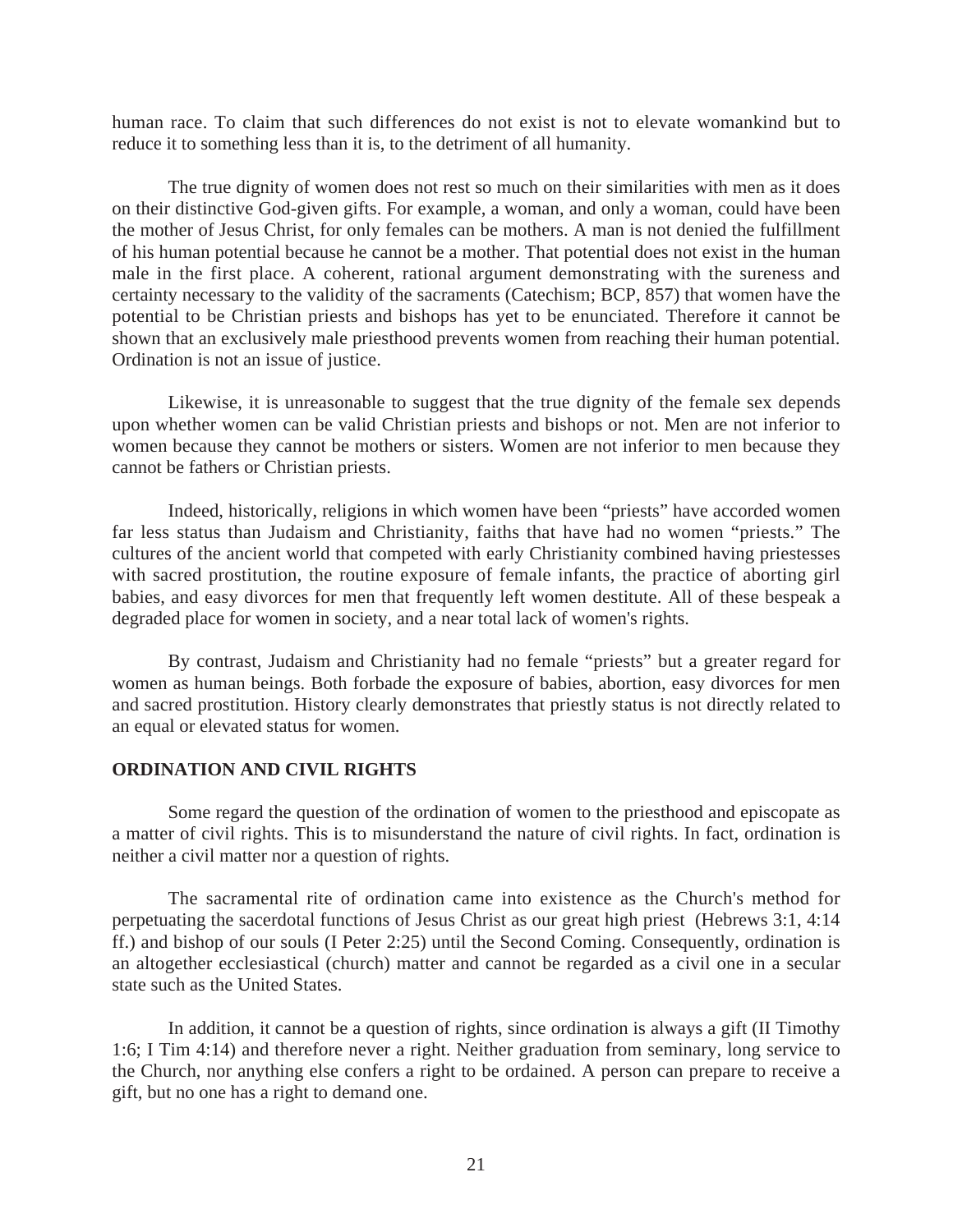human race. To claim that such differences do not exist is not to elevate womankind but to reduce it to something less than it is, to the detriment of all humanity.

The true dignity of women does not rest so much on their similarities with men as it does on their distinctive God-given gifts. For example, a woman, and only a woman, could have been the mother of Jesus Christ, for only females can be mothers. A man is not denied the fulfillment of his human potential because he cannot be a mother. That potential does not exist in the human male in the first place. A coherent, rational argument demonstrating with the sureness and certainty necessary to the validity of the sacraments (Catechism; BCP, 857) that women have the potential to be Christian priests and bishops has yet to be enunciated. Therefore it cannot be shown that an exclusively male priesthood prevents women from reaching their human potential. Ordination is not an issue of justice.

Likewise, it is unreasonable to suggest that the true dignity of the female sex depends upon whether women can be valid Christian priests and bishops or not. Men are not inferior to women because they cannot be mothers or sisters. Women are not inferior to men because they cannot be fathers or Christian priests.

Indeed, historically, religions in which women have been "priests" have accorded women far less status than Judaism and Christianity, faiths that have had no women "priests." The cultures of the ancient world that competed with early Christianity combined having priestesses with sacred prostitution, the routine exposure of female infants, the practice of aborting girl babies, and easy divorces for men that frequently left women destitute. All of these bespeak a degraded place for women in society, and a near total lack of women's rights.

By contrast, Judaism and Christianity had no female "priests" but a greater regard for women as human beings. Both forbade the exposure of babies, abortion, easy divorces for men and sacred prostitution. History clearly demonstrates that priestly status is not directly related to an equal or elevated status for women.

# **ORDINATION AND CIVIL RIGHTS**

Some regard the question of the ordination of women to the priesthood and episcopate as a matter of civil rights. This is to misunderstand the nature of civil rights. In fact, ordination is neither a civil matter nor a question of rights.

The sacramental rite of ordination came into existence as the Church's method for perpetuating the sacerdotal functions of Jesus Christ as our great high priest (Hebrews 3:1, 4:14 ff.) and bishop of our souls (I Peter 2:25) until the Second Coming. Consequently, ordination is an altogether ecclesiastical (church) matter and cannot be regarded as a civil one in a secular state such as the United States.

 In addition, it cannot be a question of rights, since ordination is always a gift (II Timothy 1:6; I Tim 4:14) and therefore never a right. Neither graduation from seminary, long service to the Church, nor anything else confers a right to be ordained. A person can prepare to receive a gift, but no one has a right to demand one.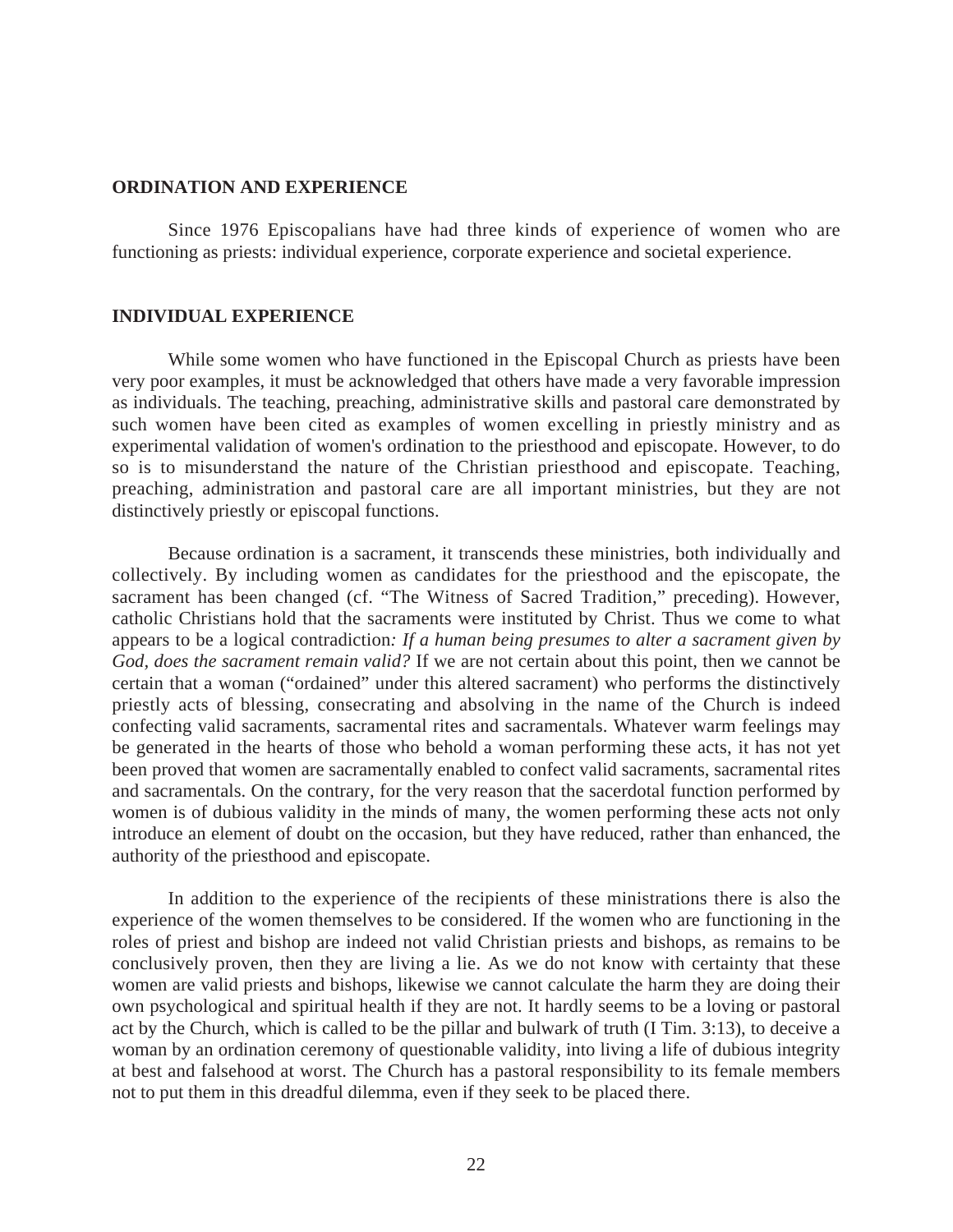#### **ORDINATION AND EXPERIENCE**

Since 1976 Episcopalians have had three kinds of experience of women who are functioning as priests: individual experience, corporate experience and societal experience.

#### **INDIVIDUAL EXPERIENCE**

While some women who have functioned in the Episcopal Church as priests have been very poor examples, it must be acknowledged that others have made a very favorable impression as individuals. The teaching, preaching, administrative skills and pastoral care demonstrated by such women have been cited as examples of women excelling in priestly ministry and as experimental validation of women's ordination to the priesthood and episcopate. However, to do so is to misunderstand the nature of the Christian priesthood and episcopate. Teaching, preaching, administration and pastoral care are all important ministries, but they are not distinctively priestly or episcopal functions.

Because ordination is a sacrament, it transcends these ministries, both individually and collectively. By including women as candidates for the priesthood and the episcopate, the sacrament has been changed (cf. "The Witness of Sacred Tradition," preceding). However, catholic Christians hold that the sacraments were instituted by Christ. Thus we come to what appears to be a logical contradiction*: If a human being presumes to alter a sacrament given by God, does the sacrament remain valid?* If we are not certain about this point, then we cannot be certain that a woman ("ordained" under this altered sacrament) who performs the distinctively priestly acts of blessing, consecrating and absolving in the name of the Church is indeed confecting valid sacraments, sacramental rites and sacramentals. Whatever warm feelings may be generated in the hearts of those who behold a woman performing these acts, it has not yet been proved that women are sacramentally enabled to confect valid sacraments, sacramental rites and sacramentals. On the contrary, for the very reason that the sacerdotal function performed by women is of dubious validity in the minds of many, the women performing these acts not only introduce an element of doubt on the occasion, but they have reduced, rather than enhanced, the authority of the priesthood and episcopate.

In addition to the experience of the recipients of these ministrations there is also the experience of the women themselves to be considered. If the women who are functioning in the roles of priest and bishop are indeed not valid Christian priests and bishops, as remains to be conclusively proven, then they are living a lie. As we do not know with certainty that these women are valid priests and bishops, likewise we cannot calculate the harm they are doing their own psychological and spiritual health if they are not. It hardly seems to be a loving or pastoral act by the Church, which is called to be the pillar and bulwark of truth (I Tim. 3:13), to deceive a woman by an ordination ceremony of questionable validity, into living a life of dubious integrity at best and falsehood at worst. The Church has a pastoral responsibility to its female members not to put them in this dreadful dilemma, even if they seek to be placed there.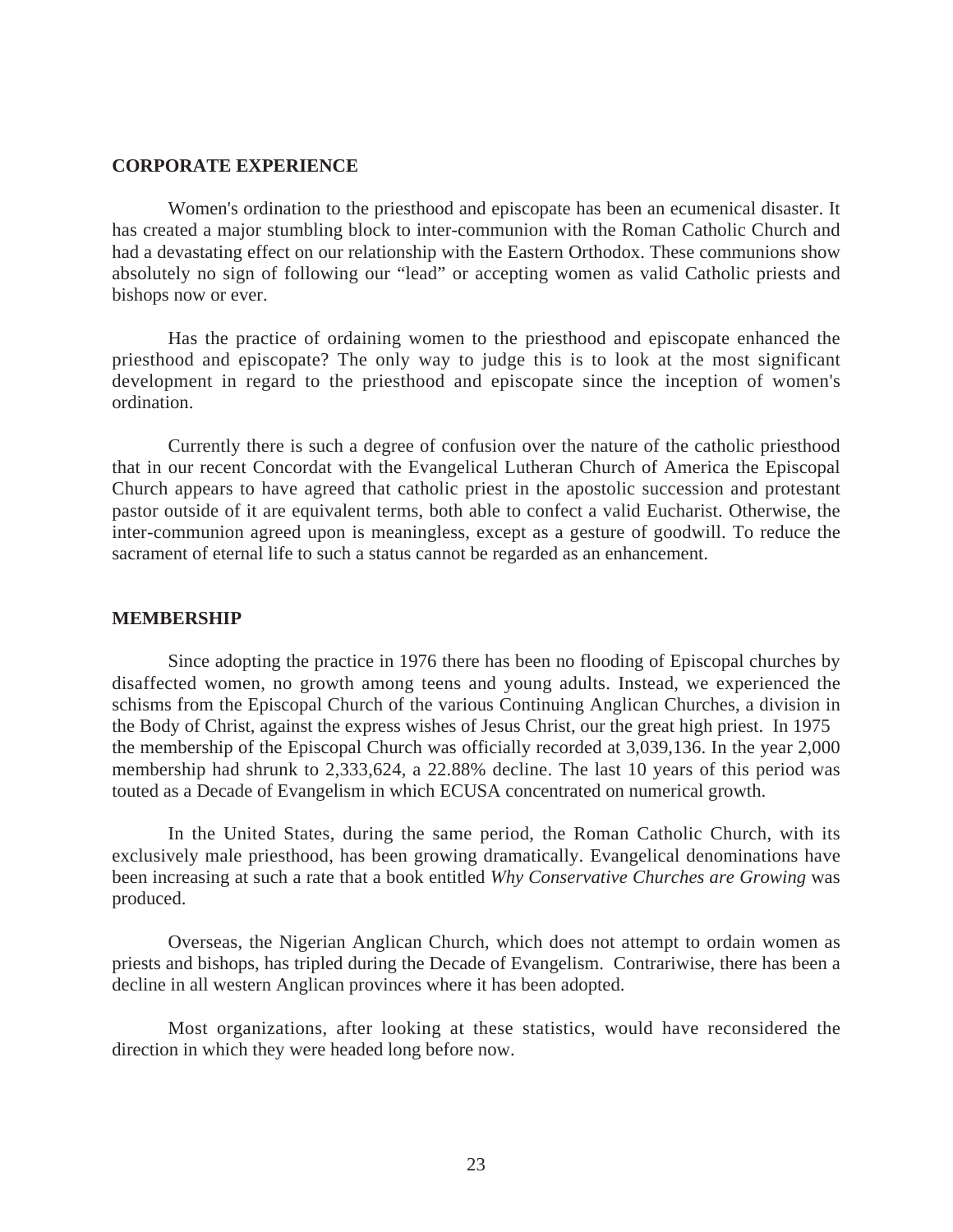#### **CORPORATE EXPERIENCE**

Women's ordination to the priesthood and episcopate has been an ecumenical disaster. It has created a major stumbling block to inter-communion with the Roman Catholic Church and had a devastating effect on our relationship with the Eastern Orthodox. These communions show absolutely no sign of following our "lead" or accepting women as valid Catholic priests and bishops now or ever.

Has the practice of ordaining women to the priesthood and episcopate enhanced the priesthood and episcopate? The only way to judge this is to look at the most significant development in regard to the priesthood and episcopate since the inception of women's ordination.

Currently there is such a degree of confusion over the nature of the catholic priesthood that in our recent Concordat with the Evangelical Lutheran Church of America the Episcopal Church appears to have agreed that catholic priest in the apostolic succession and protestant pastor outside of it are equivalent terms, both able to confect a valid Eucharist. Otherwise, the inter-communion agreed upon is meaningless, except as a gesture of goodwill. To reduce the sacrament of eternal life to such a status cannot be regarded as an enhancement.

#### **MEMBERSHIP**

Since adopting the practice in 1976 there has been no flooding of Episcopal churches by disaffected women, no growth among teens and young adults. Instead, we experienced the schisms from the Episcopal Church of the various Continuing Anglican Churches, a division in the Body of Christ, against the express wishes of Jesus Christ, our the great high priest. In 1975 the membership of the Episcopal Church was officially recorded at 3,039,136. In the year 2,000 membership had shrunk to 2,333,624, a 22.88% decline. The last 10 years of this period was touted as a Decade of Evangelism in which ECUSA concentrated on numerical growth.

In the United States, during the same period, the Roman Catholic Church, with its exclusively male priesthood, has been growing dramatically. Evangelical denominations have been increasing at such a rate that a book entitled *Why Conservative Churches are Growing* was produced.

Overseas, the Nigerian Anglican Church, which does not attempt to ordain women as priests and bishops, has tripled during the Decade of Evangelism. Contrariwise, there has been a decline in all western Anglican provinces where it has been adopted.

Most organizations, after looking at these statistics, would have reconsidered the direction in which they were headed long before now.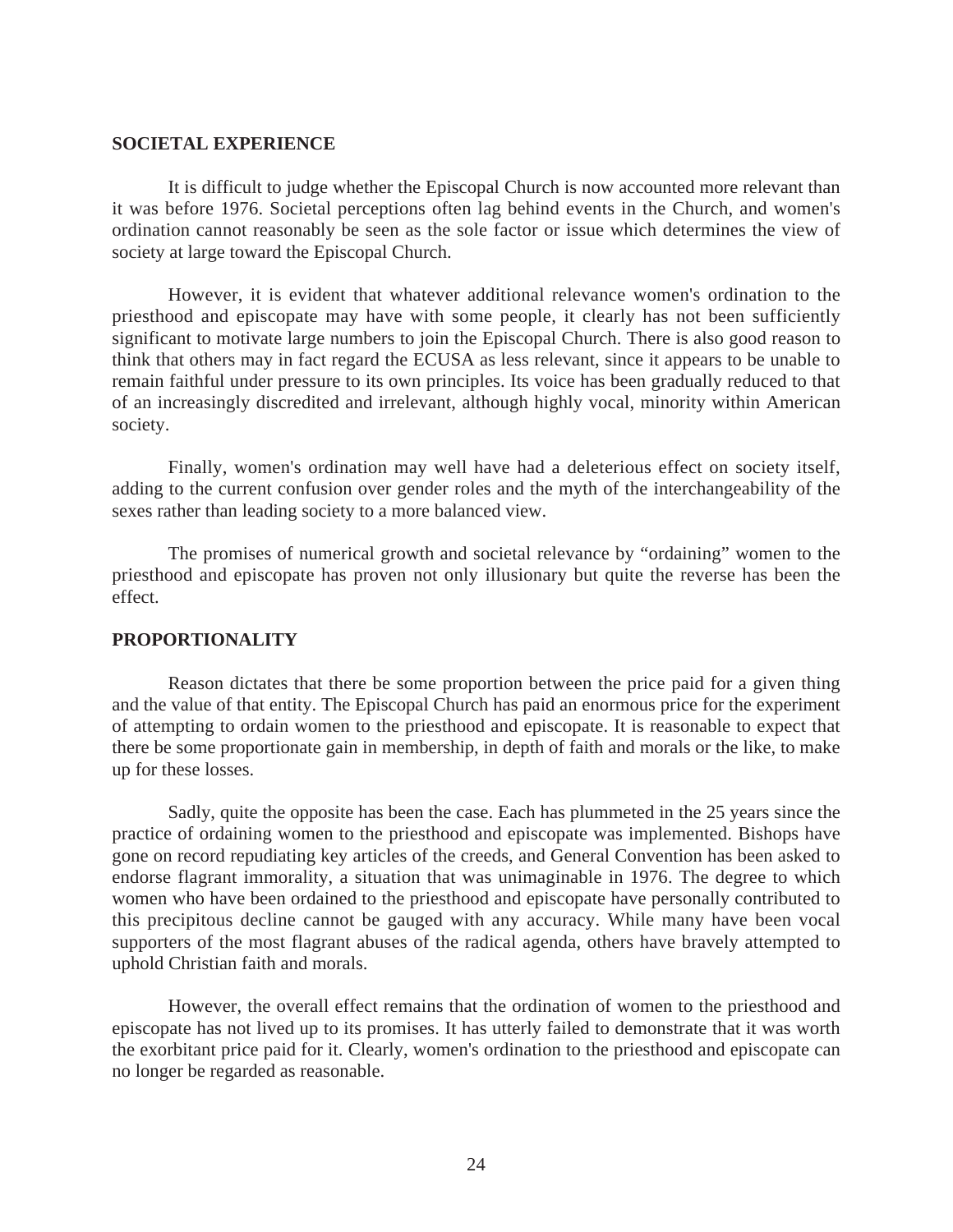#### **SOCIETAL EXPERIENCE**

 It is difficult to judge whether the Episcopal Church is now accounted more relevant than it was before 1976. Societal perceptions often lag behind events in the Church, and women's ordination cannot reasonably be seen as the sole factor or issue which determines the view of society at large toward the Episcopal Church.

However, it is evident that whatever additional relevance women's ordination to the priesthood and episcopate may have with some people, it clearly has not been sufficiently significant to motivate large numbers to join the Episcopal Church. There is also good reason to think that others may in fact regard the ECUSA as less relevant, since it appears to be unable to remain faithful under pressure to its own principles. Its voice has been gradually reduced to that of an increasingly discredited and irrelevant, although highly vocal, minority within American society.

Finally, women's ordination may well have had a deleterious effect on society itself, adding to the current confusion over gender roles and the myth of the interchangeability of the sexes rather than leading society to a more balanced view.

The promises of numerical growth and societal relevance by "ordaining" women to the priesthood and episcopate has proven not only illusionary but quite the reverse has been the effect.

## **PROPORTIONALITY**

Reason dictates that there be some proportion between the price paid for a given thing and the value of that entity. The Episcopal Church has paid an enormous price for the experiment of attempting to ordain women to the priesthood and episcopate. It is reasonable to expect that there be some proportionate gain in membership, in depth of faith and morals or the like, to make up for these losses.

 Sadly, quite the opposite has been the case. Each has plummeted in the 25 years since the practice of ordaining women to the priesthood and episcopate was implemented. Bishops have gone on record repudiating key articles of the creeds, and General Convention has been asked to endorse flagrant immorality, a situation that was unimaginable in 1976. The degree to which women who have been ordained to the priesthood and episcopate have personally contributed to this precipitous decline cannot be gauged with any accuracy. While many have been vocal supporters of the most flagrant abuses of the radical agenda, others have bravely attempted to uphold Christian faith and morals.

However, the overall effect remains that the ordination of women to the priesthood and episcopate has not lived up to its promises. It has utterly failed to demonstrate that it was worth the exorbitant price paid for it. Clearly, women's ordination to the priesthood and episcopate can no longer be regarded as reasonable.